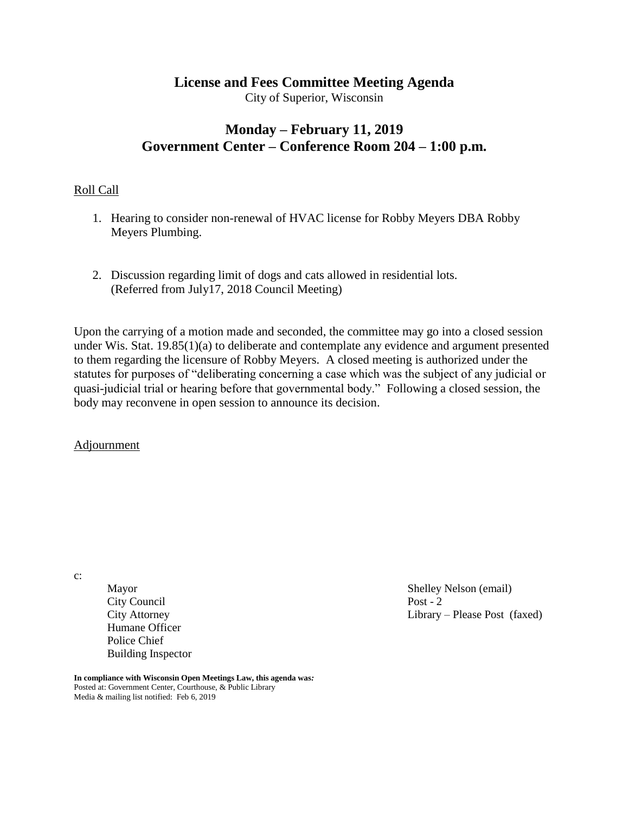# **License and Fees Committee Meeting Agenda**

City of Superior, Wisconsin

# **Monday – February 11, 2019 Government Center – Conference Room 204 – 1:00 p.m.**

## Roll Call

- 1. Hearing to consider non-renewal of HVAC license for Robby Meyers DBA Robby Meyers Plumbing.
- 2. Discussion regarding limit of dogs and cats allowed in residential lots. (Referred from July17, 2018 Council Meeting)

Upon the carrying of a motion made and seconded, the committee may go into a closed session under Wis. Stat. 19.85(1)(a) to deliberate and contemplate any evidence and argument presented to them regarding the licensure of Robby Meyers. A closed meeting is authorized under the statutes for purposes of "deliberating concerning a case which was the subject of any judicial or quasi-judicial trial or hearing before that governmental body." Following a closed session, the body may reconvene in open session to announce its decision.

Adjournment

c:

City Council Post - 2 Humane Officer Police Chief Building Inspector

Mayor Shelley Nelson (email) City Attorney Library – Please Post (faxed)

**In compliance with Wisconsin Open Meetings Law, this agenda was***:* Posted at: Government Center, Courthouse, & Public Library Media & mailing list notified: Feb 6, 2019